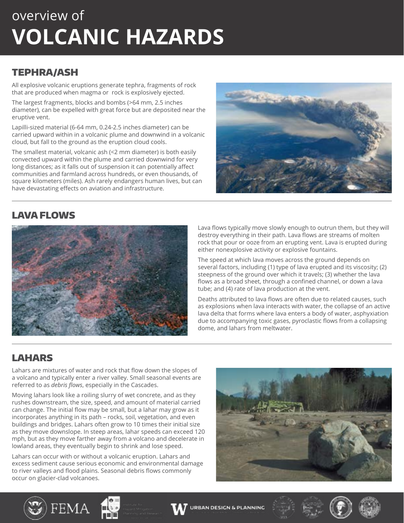## overview of **VOLCANIC HAZARDS**

### TEPHRA/ASH

All explosive volcanic eruptions generate tephra, fragments of rock that are produced when magma or rock is explosively ejected.

The largest fragments, blocks and bombs (>64 mm, 2.5 inches diameter), can be expelled with great force but are deposited near the eruptive vent.

Lapilli-sized material (6-64 mm, 0.24-2.5 inches diameter) can be carried upward within in a volcanic plume and downwind in a volcanic cloud, but fall to the ground as the eruption cloud cools.

The smallest material, volcanic ash (<2 mm diameter) is both easily convected upward within the plume and carried downwind for very long distances; as it falls out of suspension it can potentially affect communities and farmland across hundreds, or even thousands, of square kilometers (miles). Ash rarely endangers human lives, but can have devastating effects on aviation and infrastructure.



### LAVA FLOWS



Lava flows typically move slowly enough to outrun them, but they will destroy everything in their path. Lava flows are streams of molten rock that pour or ooze from an erupting vent. Lava is erupted during either nonexplosive activity or explosive fountains.

The speed at which lava moves across the ground depends on several factors, including (1) type of lava erupted and its viscosity; (2) steepness of the ground over which it travels; (3) whether the lava flows as a broad sheet, through a confined channel, or down a lava tube; and (4) rate of lava production at the vent.

Deaths attributed to lava flows are often due to related causes, such as explosions when lava interacts with water, the collapse of an active lava delta that forms where lava enters a body of water, asphyxiation due to accompanying toxic gases, pyroclastic flows from a collapsing dome, and lahars from meltwater.

## LAHARS

Lahars are mixtures of water and rock that flow down the slopes of a volcano and typically enter a river valley. Small seasonal events are referred to as *debris flows*, especially in the Cascades.

Moving lahars look like a roiling slurry of wet concrete, and as they rushes downstream, the size, speed, and amount of material carried can change. The initial flow may be small, but a lahar may grow as it incorporates anything in its path – rocks, soil, vegetation, and even buildings and bridges. Lahars often grow to 10 times their initial size as they move downslope. In steep areas, lahar speeds can exceed 120 mph, but as they move farther away from a volcano and decelerate in lowland areas, they eventually begin to shrink and lose speed.

Lahars can occur with or without a volcanic eruption. Lahars and excess sediment cause serious economic and environmental damage to river valleys and flood plains. Seasonal debris flows commonly occur on glacier-clad volcanoes.

FEMA